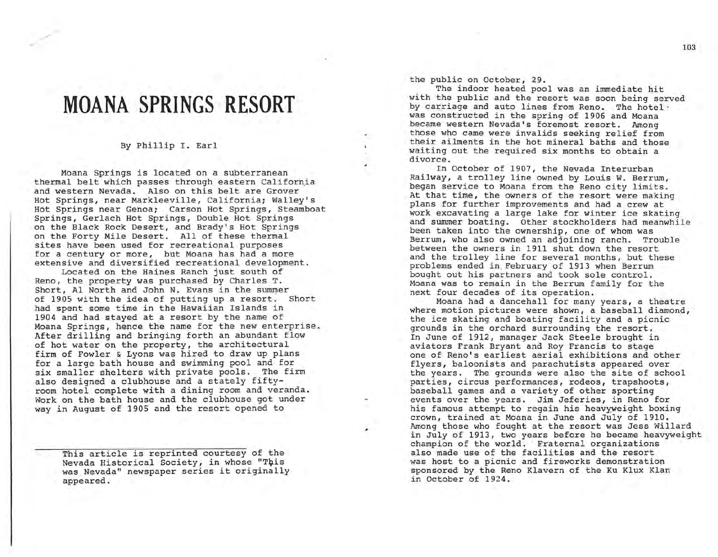## **MOANA SPRINGS RESORT'**

## By Phillip I. Earl

Moana Springs is located on a subterranean thermal belt which passes through eastern California and western Nevada. Also on this belt are Grover Hot Springs, near Markleeville, California; Walley's Hot Springs near Genoa; Carson Hot Springs, Steamboat Springs, Gerlach Hot Springs, Double Hot Springs on the Black Rock Desert, and Brady's Hot Springs on the Forty Mile Desert. All of these thermal sites have been used for recreational purposes for a century or more, but Moana has had a more extensive and diversified recreational development.

Located on the Haines Ranch just south of Reno, the property was purchased by Charles T. Short, Al North and John N. Evans in the summer of 1905 with the idea of putting up a resort. Short had spent some time in the Hawaiian Islands in 1904 and had stayed at a resort by the name of Moana Springs, hence the name for the new enterprise. After drilling and bringing forth an abundant flow of hot water on the property, the architectural firm of Fowler & Lyons was hired to draw up plans for a large bath house and swimming pool and for six smaller shelters with private pools. The firm also designed a clubhouse and a stately fiftyroom hotel complete with a dining room and veranda. Work on the bath house and the clubhouse got under way in August of 1905 and the resort opened to

This article is reprinted courtesy of the Nevada Historical Society, in whose "This was Nevada" newspaper series it originally appeared.

the public on October, 29.

The indoor heated pool was an immediate hit with the public and the resort was soon being served by carriage and auto lines from Reno. The hotel ' was constructed in the spring of 1906 and Moana became western Nevada's foremost resort. Among those who came were invalids seeking relief from their ailments in the hot mineral baths and those waiting out the required six months to obtain a divorce.

In October of 1907, the Nevada Interurban Railway, a trolley line owned by Louis W. Berrum, began service to Moana from the Reno city limits. At that time, the owners of the resort were making plans for further improvements and had a crew at work excavating a large lake for winter ice skating and summer boating. Other stockholders had meanwhile been taken into the ownership, one of whom was Berrum, who also owned an adjoining ranch. Trouble between the owners in 1911 shut down the resort and the trolley line for several months, but these problems ended in, February of 1913 when Berrum bought out his partners and took sole control. Moana was to remain in the Berrum family for the next four decades of its operation.

Moana had a danceha1l for many years, a theatre where motion pictures were shown, a baseball diamond, the ice skating and boating facility and a picnic grounds in the orchard surrounding the resort. In June of 1912, manager Jack Steele brought in aviators Frank Bryant and Roy Francis to stage one of Reno's earliest aerial exhibitions and other flyers, baloonists and parachutists appeared over the years. The grounds were also the site of school parties, circus performances, rodeos, trapshoots, baseball games and a variety of other sporting events over the years. Jim Jeferies, in Reno for his famous attempt to regain his heavyweight boxing crown, trained at Moana in June and July of 1910. Among those who fought at the resort was Jess Willard in July of 1913, two years before he became heavyweight champion of the world. Fraternal organizations also made use of the facilities and the resort was host to a picnic and fireworks demonstration sponsored by the Reno K1avern of the Ku Klux Klan in October of 1924.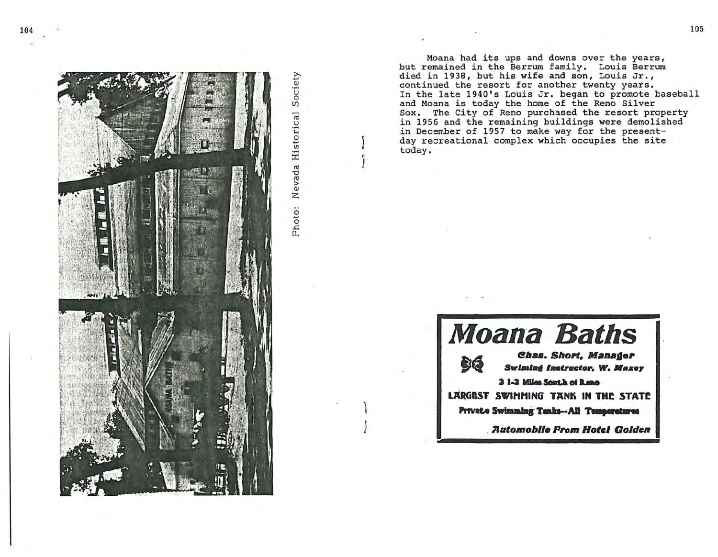

Photo: Nevada Historical Society

Moana had its ups and downs over the years, but remained in the Berrum family. Louis Berrum died in 1938, but his wife and son, Louis Jr., continued the resort for another twenty years. In the late 1940's Louis Jr. began to promote baseball and Moana is today the home of the Reno Silver Sox. The City of Reno purchased the resort property in 1956 and the remaining buildings were demolished in December of 1957 to make way for the presentday recreational complex which occupies the site today.